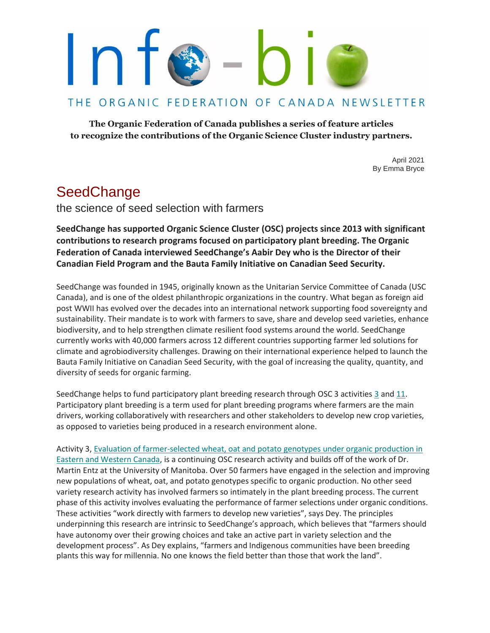## THE ORGANIC FEDERATION OF CANADA NEWSLETTER

**The Organic Federation of Canada publishes a series of feature articles to recognize the contributions of the Organic Science Cluster industry partners.**

> April 2021 By Emma Bryce

# **SeedChange**

the science of seed selection with farmers

**SeedChange has supported Organic Science Cluster (OSC) projects since 2013 with significant contributions to research programs focused on participatory plant breeding. The Organic Federation of Canada interviewed SeedChange's Aabir Dey who is the Director of their Canadian Field Program and the Bauta Family Initiative on Canadian Seed Security.**

SeedChange was founded in 1945, originally known as the Unitarian Service Committee of Canada (USC Canada), and is one of the oldest philanthropic organizations in the country. What began as foreign aid post WWII has evolved over the decades into an international network supporting food sovereignty and sustainability. Their mandate is to work with farmers to save, share and develop seed varieties, enhance biodiversity, and to help strengthen climate resilient food systems around the world. SeedChange currently works with 40,000 farmers across 12 different countries supporting farmer led solutions for climate and agrobiodiversity challenges. Drawing on their international experience helped to launch the Bauta Family Initiative on Canadian Seed Security, with the goal of increasing the quality, quantity, and diversity of seeds for organic farming.

SeedChange helps to fund participatory plant breeding research through OSC 3 activities [3](https://www.dal.ca/faculty/agriculture/oacc/en-home/organic-science-cluster/OSCIII/field-crops/activity-3-ab-.html) and [11.](https://www.dal.ca/faculty/agriculture/oacc/en-home/organic-science-cluster/OSCIII/horticulture-/activity-11.html) Participatory plant breeding is a term used for plant breeding programs where farmers are the main drivers, working collaboratively with researchers and other stakeholders to develop new crop varieties, as opposed to varieties being produced in a research environment alone.

Activity 3, [Evaluation of farmer-selected wheat, oat and potato genotypes under organic production in](https://www.dal.ca/faculty/agriculture/oacc/en-home/organic-science-cluster/OSCIII/field-crops.html) Eastern and Western [Canada, i](https://www.dal.ca/faculty/agriculture/oacc/en-home/organic-science-cluster/OSCIII/field-crops.html)s a continuing OSC research activity and builds off of the work of Dr. Martin Entz at the University of Manitoba. Over 50 farmers have engaged in the selection and improving new populations of wheat, oat, and potato genotypes specific to organic production. No other seed variety research activity has involved farmers so intimately in the plant breeding process. The current phase of this activity involves evaluating the performance of farmer selections under organic conditions. These activities "work directly with farmers to develop new varieties", says Dey. The principles underpinning this research are intrinsic to SeedChange's approach, which believes that "farmers should have autonomy over their growing choices and take an active part in variety selection and the development process". As Dey explains, "farmers and Indigenous communities have been breeding plants this way for millennia. No one knows the field better than those that work the land".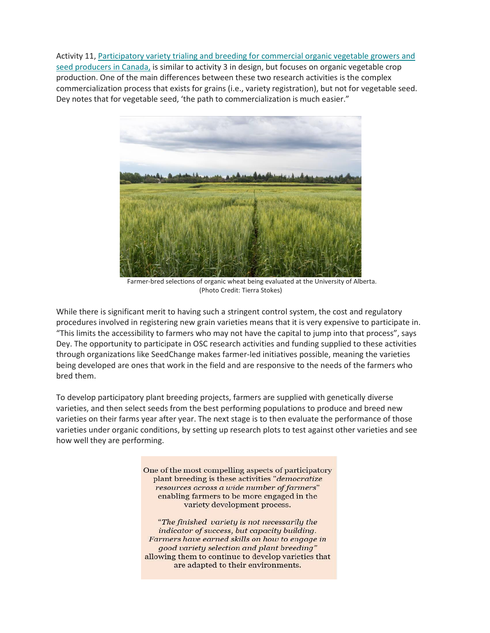Activity 11[, Participatory variety trialing and breeding for commercial organic vegetable growers and](https://www.dal.ca/faculty/agriculture/oacc/en-home/organic-science-cluster/OSCIII/horticulture-.html) [seed producers in Canada,](https://www.dal.ca/faculty/agriculture/oacc/en-home/organic-science-cluster/OSCIII/horticulture-.html) is similar to activity 3 in design, but focuses on organic vegetable crop production. One of the main differences between these two research activities is the complex commercialization process that exists for grains (i.e., variety registration), but not for vegetable seed. Dey notes that for vegetable seed, 'the path to commercialization is much easier."



Farmer-bred selections of organic wheat being evaluated at the University of Alberta. (Photo Credit: Tierra Stokes)

While there is significant merit to having such a stringent control system, the cost and regulatory procedures involved in registering new grain varieties means that it is very expensive to participate in. "This limits the accessibility to farmers who may not have the capital to jump into that process", says Dey. The opportunity to participate in OSC research activities and funding supplied to these activities through organizations like SeedChange makes farmer-led initiatives possible, meaning the varieties being developed are ones that work in the field and are responsive to the needs of the farmers who bred them.

To develop participatory plant breeding projects, farmers are supplied with genetically diverse varieties, and then select seeds from the best performing populations to produce and breed new varieties on their farms year after year. The next stage is to then evaluate the performance of those varieties under organic conditions, by setting up research plots to test against other varieties and see how well they are performing.

> One of the most compelling aspects of participatory plant breeding is these activities "democratize resources across a wide number of farmers" enabling farmers to be more engaged in the variety development process.

"The finished variety is not necessarily the indicator of success, but capacity building. Farmers have earned skills on how to engage in good variety selection and plant breeding" allowing them to continue to develop varieties that are adapted to their environments.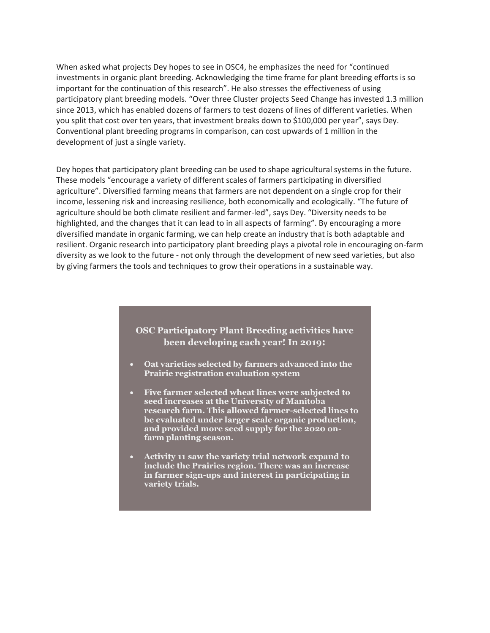When asked what projects Dey hopes to see in OSC4, he emphasizes the need for "continued investments in organic plant breeding. Acknowledging the time frame for plant breeding efforts is so important for the continuation of this research". He also stresses the effectiveness of using participatory plant breeding models. "Over three Cluster projects Seed Change has invested 1.3 million since 2013, which has enabled dozens of farmers to test dozens of lines of different varieties. When you split that cost over ten years, that investment breaks down to \$100,000 per year", says Dey. Conventional plant breeding programs in comparison, can cost upwards of 1 million in the development of just a single variety.

Dey hopes that participatory plant breeding can be used to shape agricultural systems in the future. These models "encourage a variety of different scales of farmers participating in diversified agriculture". Diversified farming means that farmers are not dependent on a single crop for their income, lessening risk and increasing resilience, both economically and ecologically. "The future of agriculture should be both climate resilient and farmer-led", says Dey. "Diversity needs to be highlighted, and the changes that it can lead to in all aspects of farming". By encouraging a more diversified mandate in organic farming, we can help create an industry that is both adaptable and resilient. Organic research into participatory plant breeding plays a pivotal role in encouraging on-farm diversity as we look to the future - not only through the development of new seed varieties, but also by giving farmers the tools and techniques to grow their operations in a sustainable way.

## **OSC Participatory Plant Breeding activities have been developing each year! In 2019:**

- **Oat varieties selected by farmers advanced into the Prairie registration evaluation system**
- **Five farmer selected wheat lines were subjected to seed increases at the University of Manitoba research farm. This allowed farmer-selected lines to be evaluated under larger scale organic production, and provided more seed supply for the 2020 onfarm planting season.**
- **Activity 11 saw the variety trial network expand to include the Prairies region. There was an increase in farmer sign-ups and interest in participating in variety trials.**